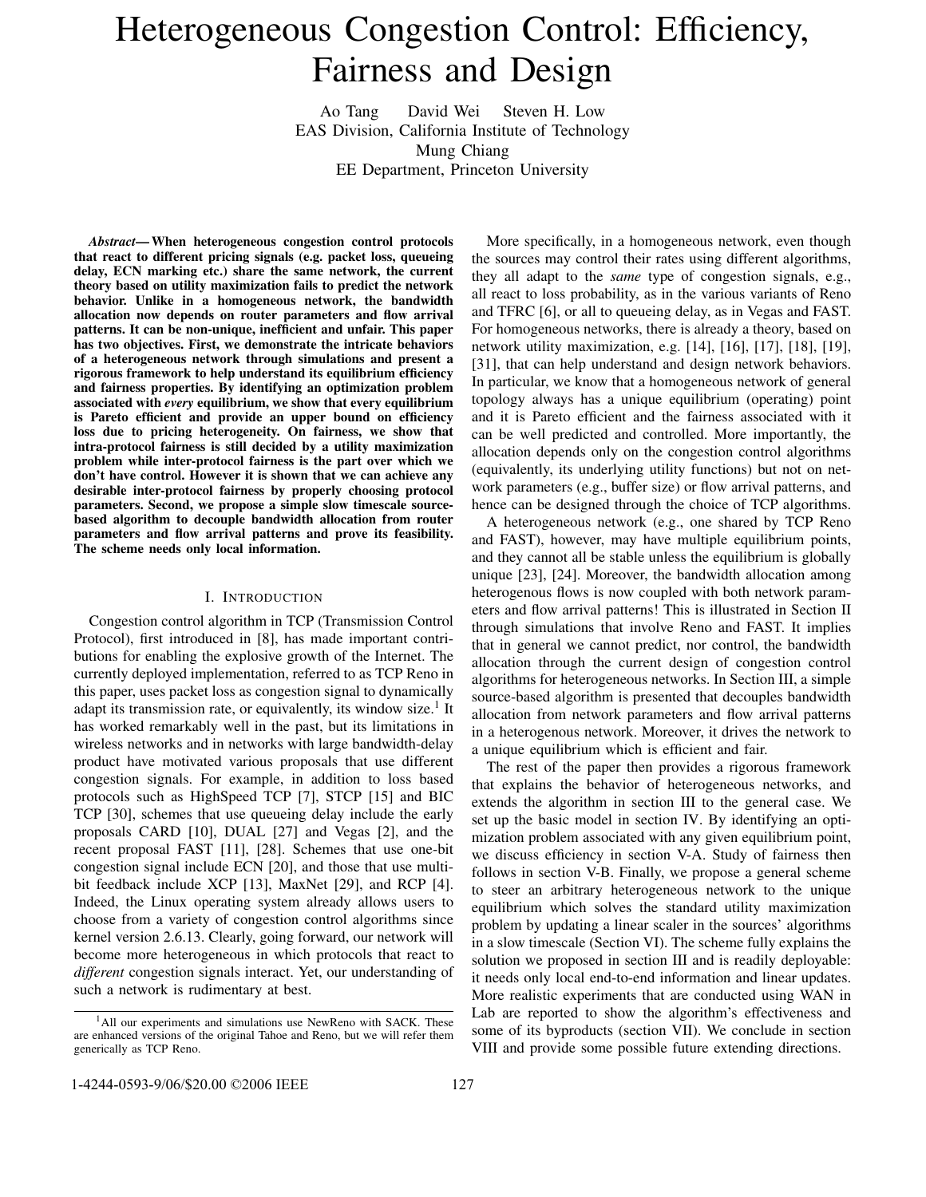# Heterogeneous Congestion Control: Efficiency, Fairness and Design

Ao Tang David Wei Steven H. Low EAS Division, California Institute of Technology Mung Chiang EE Department, Princeton University

*Abstract***— When heterogeneous congestion control protocols that react to different pricing signals (e.g. packet loss, queueing delay, ECN marking etc.) share the same network, the current theory based on utility maximization fails to predict the network behavior. Unlike in a homogeneous network, the bandwidth allocation now depends on router parameters and flow arrival patterns. It can be non-unique, inefficient and unfair. This paper has two objectives. First, we demonstrate the intricate behaviors of a heterogeneous network through simulations and present a rigorous framework to help understand its equilibrium efficiency and fairness properties. By identifying an optimization problem associated with** *every* **equilibrium, we show that every equilibrium is Pareto efficient and provide an upper bound on efficiency loss due to pricing heterogeneity. On fairness, we show that intra-protocol fairness is still decided by a utility maximization problem while inter-protocol fairness is the part over which we don't have control. However it is shown that we can achieve any desirable inter-protocol fairness by properly choosing protocol parameters. Second, we propose a simple slow timescale sourcebased algorithm to decouple bandwidth allocation from router parameters and flow arrival patterns and prove its feasibility. The scheme needs only local information.**

#### I. INTRODUCTION

Congestion control algorithm in TCP (Transmission Control Protocol), first introduced in [8], has made important contributions for enabling the explosive growth of the Internet. The currently deployed implementation, referred to as TCP Reno in this paper, uses packet loss as congestion signal to dynamically adapt its transmission rate, or equivalently, its window size.<sup>1</sup> It has worked remarkably well in the past, but its limitations in wireless networks and in networks with large bandwidth-delay product have motivated various proposals that use different congestion signals. For example, in addition to loss based protocols such as HighSpeed TCP [7], STCP [15] and BIC TCP [30], schemes that use queueing delay include the early proposals CARD [10], DUAL [27] and Vegas [2], and the recent proposal FAST [11], [28]. Schemes that use one-bit congestion signal include ECN [20], and those that use multibit feedback include XCP [13], MaxNet [29], and RCP [4]. Indeed, the Linux operating system already allows users to choose from a variety of congestion control algorithms since kernel version 2.6.13. Clearly, going forward, our network will become more heterogeneous in which protocols that react to *different* congestion signals interact. Yet, our understanding of such a network is rudimentary at best.

More specifically, in a homogeneous network, even though the sources may control their rates using different algorithms, they all adapt to the *same* type of congestion signals, e.g., all react to loss probability, as in the various variants of Reno and TFRC [6], or all to queueing delay, as in Vegas and FAST. For homogeneous networks, there is already a theory, based on network utility maximization, e.g. [14], [16], [17], [18], [19], [31], that can help understand and design network behaviors. In particular, we know that a homogeneous network of general topology always has a unique equilibrium (operating) point and it is Pareto efficient and the fairness associated with it can be well predicted and controlled. More importantly, the allocation depends only on the congestion control algorithms (equivalently, its underlying utility functions) but not on network parameters (e.g., buffer size) or flow arrival patterns, and hence can be designed through the choice of TCP algorithms.

A heterogeneous network (e.g., one shared by TCP Reno and FAST), however, may have multiple equilibrium points, and they cannot all be stable unless the equilibrium is globally unique [23], [24]. Moreover, the bandwidth allocation among heterogenous flows is now coupled with both network parameters and flow arrival patterns! This is illustrated in Section II through simulations that involve Reno and FAST. It implies that in general we cannot predict, nor control, the bandwidth allocation through the current design of congestion control algorithms for heterogeneous networks. In Section III, a simple source-based algorithm is presented that decouples bandwidth allocation from network parameters and flow arrival patterns in a heterogenous network. Moreover, it drives the network to a unique equilibrium which is efficient and fair.

The rest of the paper then provides a rigorous framework that explains the behavior of heterogeneous networks, and extends the algorithm in section III to the general case. We set up the basic model in section IV. By identifying an optimization problem associated with any given equilibrium point, we discuss efficiency in section V-A. Study of fairness then follows in section V-B. Finally, we propose a general scheme to steer an arbitrary heterogeneous network to the unique equilibrium which solves the standard utility maximization problem by updating a linear scaler in the sources' algorithms in a slow timescale (Section VI). The scheme fully explains the solution we proposed in section III and is readily deployable: it needs only local end-to-end information and linear updates. More realistic experiments that are conducted using WAN in Lab are reported to show the algorithm's effectiveness and some of its byproducts (section VII). We conclude in section VIII and provide some possible future extending directions.

<sup>&</sup>lt;sup>1</sup>All our experiments and simulations use NewReno with SACK. These are enhanced versions of the original Tahoe and Reno, but we will refer them generically as TCP Reno.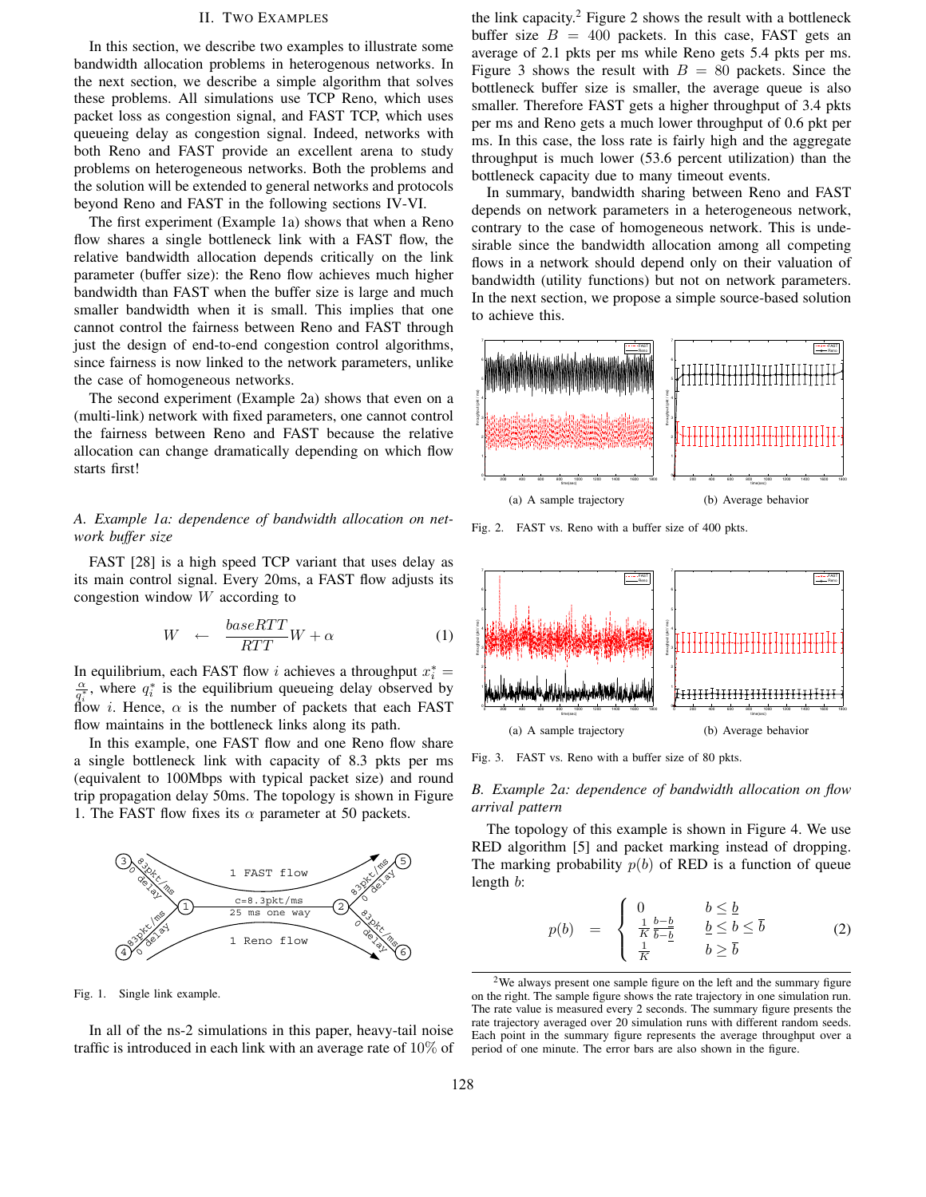## II. TWO EXAMPLES

In this section, we describe two examples to illustrate some bandwidth allocation problems in heterogenous networks. In the next section, we describe a simple algorithm that solves these problems. All simulations use TCP Reno, which uses packet loss as congestion signal, and FAST TCP, which uses queueing delay as congestion signal. Indeed, networks with both Reno and FAST provide an excellent arena to study problems on heterogeneous networks. Both the problems and the solution will be extended to general networks and protocols beyond Reno and FAST in the following sections IV-VI.

The first experiment (Example 1a) shows that when a Reno flow shares a single bottleneck link with a FAST flow, the relative bandwidth allocation depends critically on the link parameter (buffer size): the Reno flow achieves much higher bandwidth than FAST when the buffer size is large and much smaller bandwidth when it is small. This implies that one cannot control the fairness between Reno and FAST through just the design of end-to-end congestion control algorithms, since fairness is now linked to the network parameters, unlike the case of homogeneous networks.

The second experiment (Example 2a) shows that even on a (multi-link) network with fixed parameters, one cannot control the fairness between Reno and FAST because the relative allocation can change dramatically depending on which flow starts first!

# *A. Example 1a: dependence of bandwidth allocation on network buffer size*

FAST [28] is a high speed TCP variant that uses delay as its main control signal. Every 20ms, a FAST flow adjusts its congestion window  $W$  according to

$$
W \leftarrow \frac{baseRTT}{RTT}W + \alpha \tag{1}
$$

In equilibrium, each FAST flow i achieves a throughput  $x_i^* =$ in equinorium, each PAST flow  $i$  achieves a unoughput  $x_i = \frac{\alpha}{q_i^*}$ , where  $q_i^*$  is the equilibrium queueing delay observed by flow *i*. Hence,  $\alpha$  is the number of packets that each FAST flow maintains in the bottleneck links along its path.

In this example, one FAST flow and one Reno flow share a single bottleneck link with capacity of 8.3 pkts per ms (equivalent to 100Mbps with typical packet size) and round trip propagation delay 50ms. The topology is shown in Figure 1. The FAST flow fixes its  $\alpha$  parameter at 50 packets.



Fig. 1. Single link example.

In all of the ns-2 simulations in this paper, heavy-tail noise traffic is introduced in each link with an average rate of 10% of the link capacity.2 Figure 2 shows the result with a bottleneck buffer size  $B = 400$  packets. In this case, FAST gets an average of 2.1 pkts per ms while Reno gets 5.4 pkts per ms. Figure 3 shows the result with  $B = 80$  packets. Since the bottleneck buffer size is smaller, the average queue is also smaller. Therefore FAST gets a higher throughput of 3.4 pkts per ms and Reno gets a much lower throughput of 0.6 pkt per ms. In this case, the loss rate is fairly high and the aggregate throughput is much lower (53.6 percent utilization) than the bottleneck capacity due to many timeout events.

In summary, bandwidth sharing between Reno and FAST depends on network parameters in a heterogeneous network, contrary to the case of homogeneous network. This is undesirable since the bandwidth allocation among all competing flows in a network should depend only on their valuation of bandwidth (utility functions) but not on network parameters. In the next section, we propose a simple source-based solution to achieve this.



Fig. 2. FAST vs. Reno with a buffer size of 400 pkts.



Fig. 3. FAST vs. Reno with a buffer size of 80 pkts.

# *B. Example 2a: dependence of bandwidth allocation on flow arrival pattern*

The topology of this example is shown in Figure 4. We use RED algorithm [5] and packet marking instead of dropping. The marking probability  $p(b)$  of RED is a function of queue length b:

$$
p(b) = \begin{cases} 0 & b \leq \underline{b} \\ \frac{1}{K} \frac{b - \underline{b}}{\overline{b} - \underline{b}} & \underline{b} \leq \overline{b} \\ \frac{1}{K} & b \geq \overline{b} \end{cases}
$$
 (2)

<sup>&</sup>lt;sup>2</sup>We always present one sample figure on the left and the summary figure on the right. The sample figure shows the rate trajectory in one simulation run. The rate value is measured every 2 seconds. The summary figure presents the rate trajectory averaged over 20 simulation runs with different random seeds. Each point in the summary figure represents the average throughput over a period of one minute. The error bars are also shown in the figure.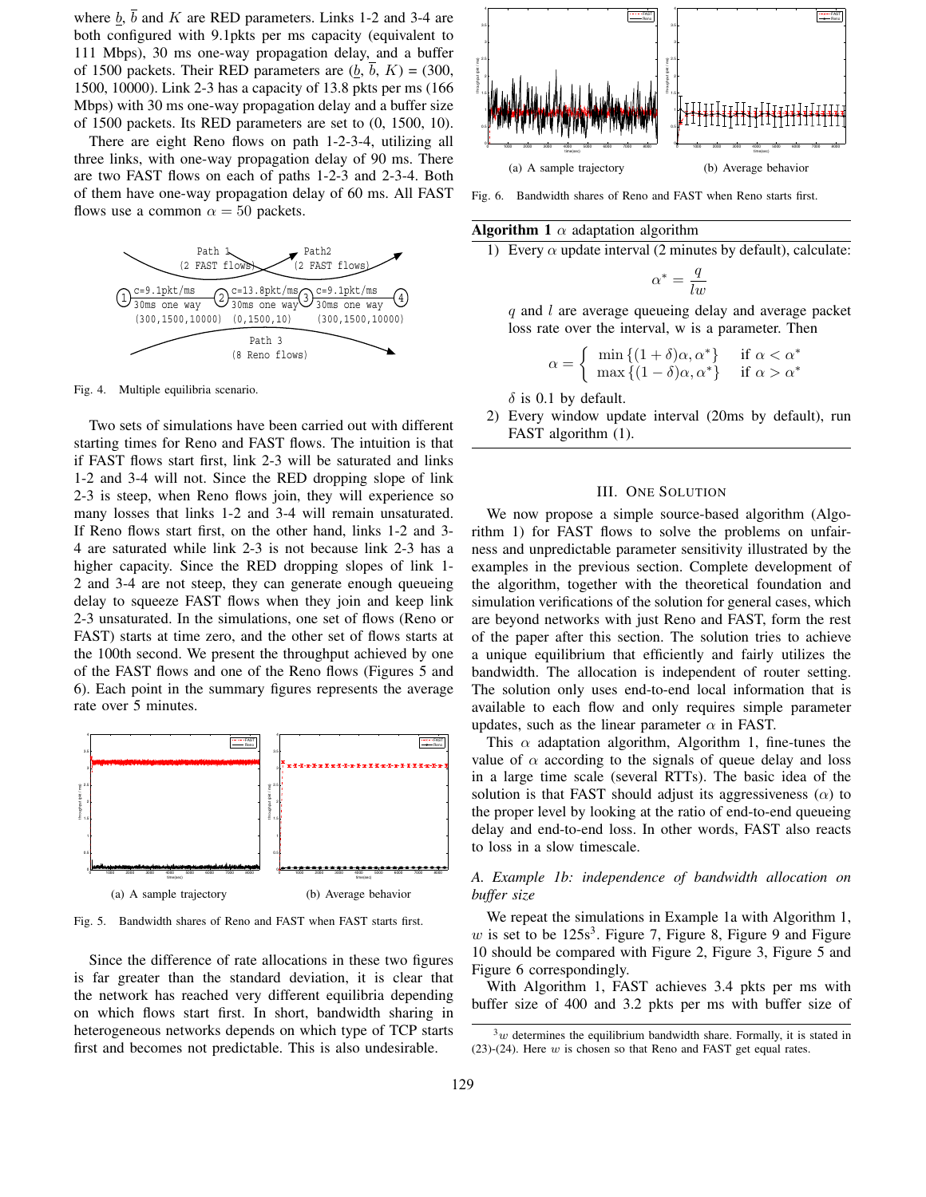where  $\underline{b}$ ,  $\overline{b}$  and K are RED parameters. Links 1-2 and 3-4 are both configured with 9.1pkts per ms capacity (equivalent to 111 Mbps), 30 ms one-way propagation delay, and a buffer of 1500 packets. Their RED parameters are  $(\underline{b}, b, K) = (300,$ 1500, 10000). Link 2-3 has a capacity of 13.8 pkts per ms (166 Mbps) with 30 ms one-way propagation delay and a buffer size of 1500 packets. Its RED parameters are set to (0, 1500, 10).

There are eight Reno flows on path 1-2-3-4, utilizing all three links, with one-way propagation delay of 90 ms. There are two FAST flows on each of paths 1-2-3 and 2-3-4. Both of them have one-way propagation delay of 60 ms. All FAST flows use a common  $\alpha = 50$  packets.



Fig. 4. Multiple equilibria scenario.

Two sets of simulations have been carried out with different starting times for Reno and FAST flows. The intuition is that if FAST flows start first, link 2-3 will be saturated and links 1-2 and 3-4 will not. Since the RED dropping slope of link 2-3 is steep, when Reno flows join, they will experience so many losses that links 1-2 and 3-4 will remain unsaturated. If Reno flows start first, on the other hand, links 1-2 and 3- 4 are saturated while link 2-3 is not because link 2-3 has a higher capacity. Since the RED dropping slopes of link 1- 2 and 3-4 are not steep, they can generate enough queueing delay to squeeze FAST flows when they join and keep link 2-3 unsaturated. In the simulations, one set of flows (Reno or FAST) starts at time zero, and the other set of flows starts at the 100th second. We present the throughput achieved by one of the FAST flows and one of the Reno flows (Figures 5 and 6). Each point in the summary figures represents the average rate over 5 minutes.



Fig. 5. Bandwidth shares of Reno and FAST when FAST starts first.

Since the difference of rate allocations in these two figures is far greater than the standard deviation, it is clear that the network has reached very different equilibria depending on which flows start first. In short, bandwidth sharing in heterogeneous networks depends on which type of TCP starts first and becomes not predictable. This is also undesirable.



Fig. 6. Bandwidth shares of Reno and FAST when Reno starts first.

#### **Algorithm 1**  $\alpha$  adaptation algorithm

1) Every 
$$
\alpha
$$
 update interval (2 minutes by default), calculate:

$$
\alpha^* = \frac{q}{lw}
$$

q and l are average queueing delay and average packet loss rate over the interval, w is a parameter. Then

$$
\alpha = \begin{cases} \min\left\{ (1+\delta)\alpha, \alpha^* \right\} & \text{if } \alpha < \alpha^* \\ \max\left\{ (1-\delta)\alpha, \alpha^* \right\} & \text{if } \alpha > \alpha^* \end{cases}
$$

 $\delta$  is 0.1 by default.

2) Every window update interval (20ms by default), run FAST algorithm (1).

## III. ONE SOLUTION

We now propose a simple source-based algorithm (Algorithm 1) for FAST flows to solve the problems on unfairness and unpredictable parameter sensitivity illustrated by the examples in the previous section. Complete development of the algorithm, together with the theoretical foundation and simulation verifications of the solution for general cases, which are beyond networks with just Reno and FAST, form the rest of the paper after this section. The solution tries to achieve a unique equilibrium that efficiently and fairly utilizes the bandwidth. The allocation is independent of router setting. The solution only uses end-to-end local information that is available to each flow and only requires simple parameter updates, such as the linear parameter  $\alpha$  in FAST.

This  $\alpha$  adaptation algorithm, Algorithm 1, fine-tunes the value of  $\alpha$  according to the signals of queue delay and loss in a large time scale (several RTTs). The basic idea of the solution is that FAST should adjust its aggressiveness  $(\alpha)$  to the proper level by looking at the ratio of end-to-end queueing delay and end-to-end loss. In other words, FAST also reacts to loss in a slow timescale.

# *A. Example 1b: independence of bandwidth allocation on buffer size*

We repeat the simulations in Example 1a with Algorithm 1, w is set to be  $125s^3$ . Figure 7, Figure 8, Figure 9 and Figure 10 should be compared with Figure 2, Figure 3, Figure 5 and Figure 6 correspondingly.

With Algorithm 1, FAST achieves 3.4 pkts per ms with buffer size of 400 and 3.2 pkts per ms with buffer size of

 $3w$  determines the equilibrium bandwidth share. Formally, it is stated in  $(23)-(24)$ . Here w is chosen so that Reno and FAST get equal rates.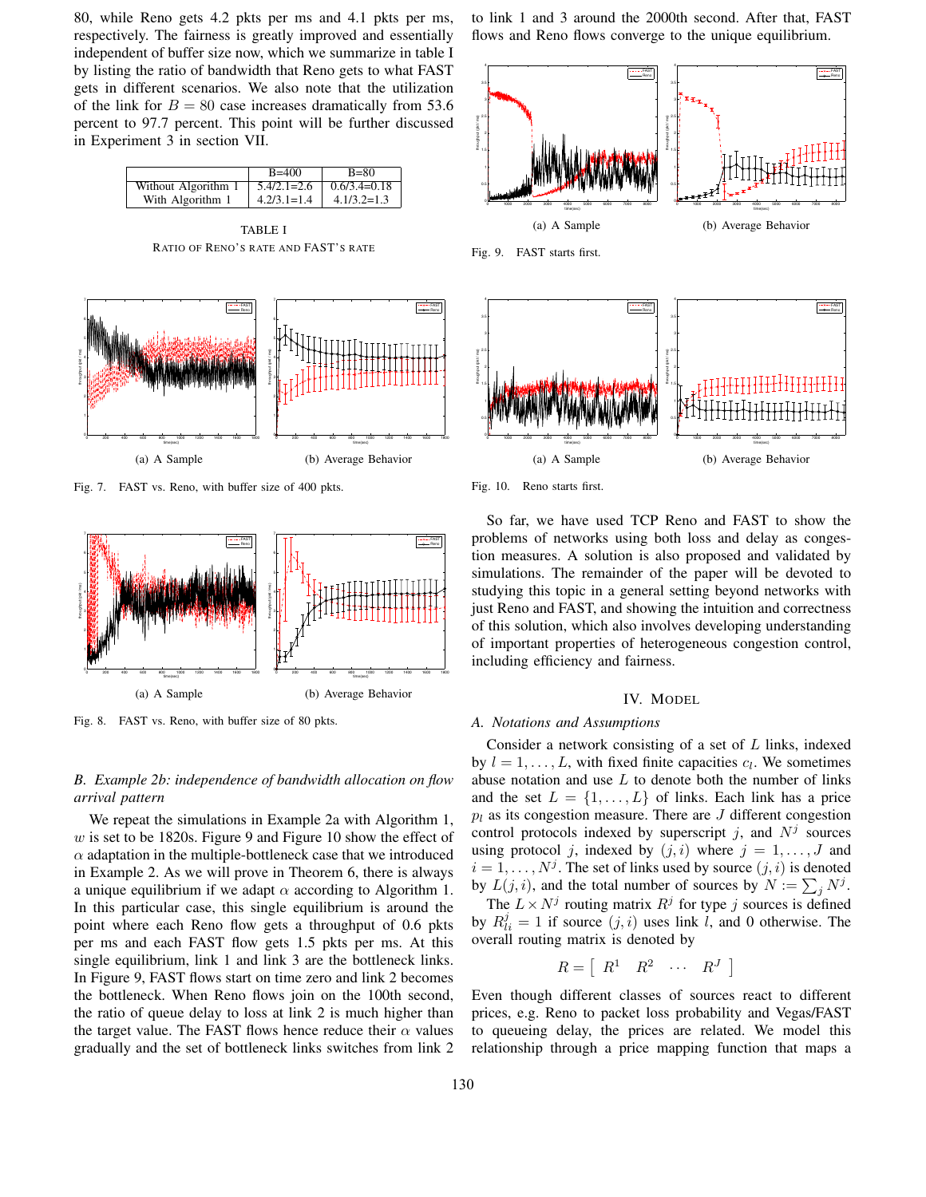80, while Reno gets 4.2 pkts per ms and 4.1 pkts per ms, respectively. The fairness is greatly improved and essentially independent of buffer size now, which we summarize in table I by listing the ratio of bandwidth that Reno gets to what FAST gets in different scenarios. We also note that the utilization of the link for  $B = 80$  case increases dramatically from 53.6 percent to 97.7 percent. This point will be further discussed in Experiment 3 in section VII.

|                     | $B = 400$       | $B=80$         |
|---------------------|-----------------|----------------|
| Without Algorithm 1 | $5.4/2.1=2.6$   | $0.6/3.4=0.18$ |
| With Algorithm 1    | $4.2/3.1 = 1.4$ | $4.1/3.2=1.3$  |

TABLE I RATIO OF RENO'S RATE AND FAST'S RATE



Fig. 7. FAST vs. Reno, with buffer size of 400 pkts.



Fig. 8. FAST vs. Reno, with buffer size of 80 pkts.

# *B. Example 2b: independence of bandwidth allocation on flow arrival pattern*

We repeat the simulations in Example 2a with Algorithm 1,  $w$  is set to be 1820s. Figure 9 and Figure 10 show the effect of  $\alpha$  adaptation in the multiple-bottleneck case that we introduced in Example 2. As we will prove in Theorem 6, there is always a unique equilibrium if we adapt  $\alpha$  according to Algorithm 1. In this particular case, this single equilibrium is around the point where each Reno flow gets a throughput of 0.6 pkts per ms and each FAST flow gets 1.5 pkts per ms. At this single equilibrium, link 1 and link 3 are the bottleneck links. In Figure 9, FAST flows start on time zero and link 2 becomes the bottleneck. When Reno flows join on the 100th second, the ratio of queue delay to loss at link 2 is much higher than the target value. The FAST flows hence reduce their  $\alpha$  values gradually and the set of bottleneck links switches from link 2 to link 1 and 3 around the 2000th second. After that, FAST flows and Reno flows converge to the unique equilibrium.



Fig. 9. FAST starts first.



Fig. 10. Reno starts first.

So far, we have used TCP Reno and FAST to show the problems of networks using both loss and delay as congestion measures. A solution is also proposed and validated by simulations. The remainder of the paper will be devoted to studying this topic in a general setting beyond networks with just Reno and FAST, and showing the intuition and correctness of this solution, which also involves developing understanding of important properties of heterogeneous congestion control, including efficiency and fairness.

#### IV. MODEL

# *A. Notations and Assumptions*

Consider a network consisting of a set of L links, indexed by  $l = 1, \ldots, L$ , with fixed finite capacities  $c_l$ . We sometimes abuse notation and use  $L$  to denote both the number of links and the set  $L = \{1, \ldots, L\}$  of links. Each link has a price  $p_l$  as its congestion measure. There are  $J$  different congestion control protocols indexed by superscript j, and  $N<sup>j</sup>$  sources using protocol j, indexed by  $(j, i)$  where  $j = 1, \ldots, J$  and  $i = 1, \ldots, N<sup>j</sup>$ . The set of links used by source  $(j, i)$  is denoted by  $L(j, i)$ , and the total number of sources by  $N := \sum_j N^j$ .<br>The  $I \times N^j$  routing matrix  $P^j$  for tupe *i* sources is defined

The  $L \times N^j$  routing matrix  $R^j$  for type j sources is defined by  $R_{li}^{j} = 1$  if source  $(j, i)$  uses link l, and 0 otherwise. The overall routing matrix is denoted by overall routing matrix is denoted by

$$
R = \left[ \begin{array}{cccc} R^1 & R^2 & \cdots & R^J \end{array} \right]
$$

Even though different classes of sources react to different prices, e.g. Reno to packet loss probability and Vegas/FAST to queueing delay, the prices are related. We model this relationship through a price mapping function that maps a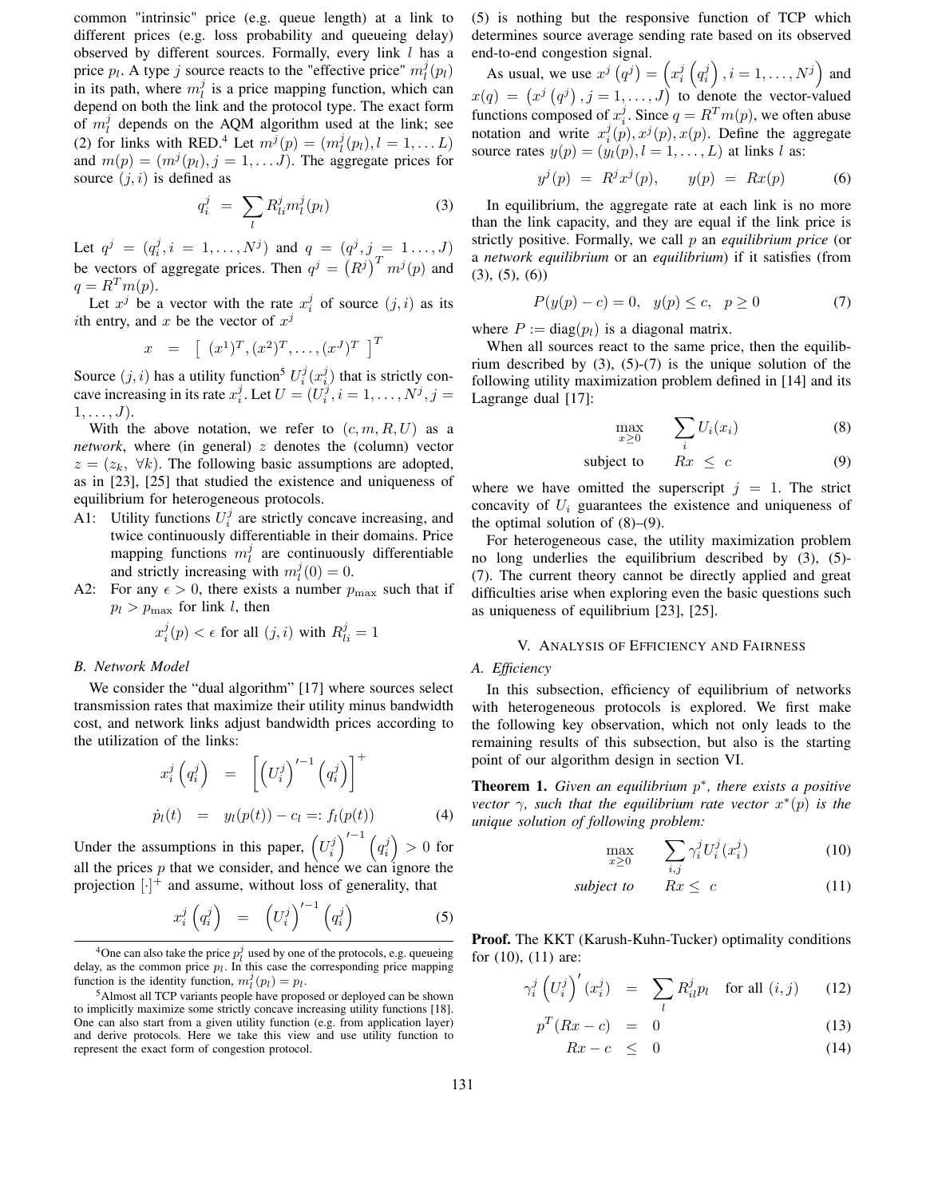common "intrinsic" price (e.g. queue length) at a link to different prices (e.g. loss probability and queueing delay) observed by different sources. Formally, every link l has a price  $p_l$ . A type j source reacts to the "effective price"  $m_l^j(p_l)$ <br>in its path, where  $m_l^j$  is a price mapping function, which can in its path, where  $m_l^j$  is a price mapping function, which can depend on both the link and the protocol type. The exact form of  $m_l^j$  depends on the AQM algorithm used at the link; see (2) for links with RED.<sup>4</sup> Let  $m^j(p) = (m^j_l(p_l), l = 1, \ldots, L)$ <br>and  $m(n) = (m^j(n), i - 1, \ldots, L)$  The aggregate prices for and  $m(p)=(m^j(p_l), j=1,\ldots J)$ . The aggregate prices for source  $(j, i)$  is defined as

$$
q_i^j = \sum_l R_{li}^j m_l^j(p_l) \tag{3}
$$

Let  $q^j = (q_i^j, i = 1, ..., N^j)$  and  $q = (q^j, j = 1, ..., J)$ <br>be vectors of correcte prices. Then  $q^j = (Di)^T \varpi^{j}(\infty)$  and be vectors of aggregate prices. Then  $q^j = (R^j)^T m^j(p)$  and  $q = R^T m(p)$  $q = R^T m(p).$ 

Let  $x^j$  be a vector with the rate  $x_i^j$  of source  $(j, i)$  as its ith entry, and x be the vector of  $x<sup>j</sup>$ 

$$
x = [(x^1)^T, (x^2)^T, \dots, (x^J)^T]^T
$$

Source  $(j, i)$  has a utility function<sup>5</sup>  $U_i^j(x_i^j)$  that is strictly con-<br>cave increasing in its rate  $x^j$ , Let  $U = (U_i^j, i = 1, \dots, N_i^j, i =$ cave increasing in its rate  $x_i^j$ . Let  $U = (U_i^j, i = 1, \dots, N^j, j = 1, \dots, N^j)$  $1,\ldots,J$ ).

With the above notation, we refer to  $(c, m, R, U)$  as a *network*, where (in general)  $z$  denotes the (column) vector  $z = (z_k, \forall k)$ . The following basic assumptions are adopted, as in [23], [25] that studied the existence and uniqueness of equilibrium for heterogeneous protocols.

- A1: Utility functions  $U_i^j$  are strictly concave increasing, and twice continuously differentiable in their domains. Price mapping functions  $m_l^j$  are continuously differentiable and strictly increasing with  $m_l^j(0) = 0$ .<br>For any  $\epsilon > 0$ , there exists a number m
- A2: For any  $\epsilon > 0$ , there exists a number  $p_{\text{max}}$  such that if  $p_l > p_{\text{max}}$  for link l, then

$$
x_i^j(p) < \epsilon \text{ for all } (j, i) \text{ with } R_{li}^j = 1
$$

## *B. Network Model*

We consider the "dual algorithm" [17] where sources select transmission rates that maximize their utility minus bandwidth cost, and network links adjust bandwidth prices according to the utilization of the links:

$$
x_i^j\left(q_i^j\right) = \left[\left(U_i^j\right)^{\prime-1}\left(q_i^j\right)\right]^+
$$
  
\n
$$
\dot{p}_l(t) = y_l(p(t)) - c_l =: f_l(p(t))
$$
\n(4)

Under the assumptions in this paper, 
$$
(U_i^j)^{\prime -1} (q_i^j) > 0
$$
 for all the prices *p* that we consider, and hence we can ignore the projection  $[\cdot]^+$  and assume, without loss of generality, that

$$
x_i^j\left(q_i^j\right) = \left(U_i^j\right)^{\prime-1}\left(q_i^j\right) \tag{5}
$$

<sup>4</sup>One can also take the price  $p_l^j$  used by one of the protocols, e.g. queueing delay, as the common price  $p_l$ . In this case the corresponding price mapping function is the identity function,  $m_l^j(p_l) = p_l$ .

<sup>5</sup>Almost all TCP variants people have proposed or deployed can be shown to implicitly maximize some strictly concave increasing utility functions [18]. One can also start from a given utility function (e.g. from application layer) and derive protocols. Here we take this view and use utility function to represent the exact form of congestion protocol.

(5) is nothing but the responsive function of TCP which determines source average sending rate based on its observed end-to-end congestion signal.

As usual, we use  $x^j(q^j) = \left(x_i^j(q_i^j), i = 1, ..., N^j\right)$  and  $x(q) = (x^j (q^j), j = 1, ..., J)$  to denote the vector-valued<br>functions composed of  $x^j$ . Since  $q = P^T x(n)$ , we often abuse functions composed of  $x_i^j$ . Since  $q = R^T m(p)$ , we often abuse<br>notation and write  $x^j(p), x^j(p), x(p)$ . Define the aggregate notation and write  $x_i^j(p), x^j(p), x(p)$ . Define the aggregate<br>source rates  $y(n) = (y_0(n), I - 1, I)$  at links l as: source rates  $y(p) = (y_l(p), l = 1, \ldots, L)$  at links l as:

$$
y^{j}(p) = R^{j}x^{j}(p), \t y(p) = Rx(p)
$$
 (6)

In equilibrium, the aggregate rate at each link is no more than the link capacity, and they are equal if the link price is strictly positive. Formally, we call p an *equilibrium price* (or a *network equilibrium* or an *equilibrium*) if it satisfies (from (3), (5), (6))

$$
P(y(p) - c) = 0, \quad y(p) \le c, \quad p \ge 0 \tag{7}
$$

where  $P := diag(p_l)$  is a diagonal matrix.

When all sources react to the same price, then the equilibrium described by  $(3)$ ,  $(5)-(7)$  is the unique solution of the following utility maximization problem defined in [14] and its Lagrange dual [17]:

$$
\max_{x \ge 0} \qquad \sum_i U_i(x_i) \tag{8}
$$

$$
subject to \t Rx \leq c \t(9)
$$

where we have omitted the superscript  $j = 1$ . The strict concavity of  $U_i$  guarantees the existence and uniqueness of the optimal solution of  $(8)$ – $(9)$ .

For heterogeneous case, the utility maximization problem no long underlies the equilibrium described by (3), (5)- (7). The current theory cannot be directly applied and great difficulties arise when exploring even the basic questions such as uniqueness of equilibrium [23], [25].

# V. ANALYSIS OF EFFICIENCY AND FAIRNESS

#### *A. Efficiency*

In this subsection, efficiency of equilibrium of networks with heterogeneous protocols is explored. We first make the following key observation, which not only leads to the remaining results of this subsection, but also is the starting point of our algorithm design in section VI.

**Theorem 1.** *Given an equilibrium* p∗*, there exists a positive vector*  $\gamma$ *, such that the equilibrium rate vector*  $x^*(p)$  *is the unique solution of following problem:*

$$
\max_{x \ge 0} \qquad \sum_{i,j} \gamma_i^j U_i^j(x_i^j) \tag{10}
$$

$$
subject\ to\qquad Rx \leq c \tag{11}
$$

**Proof.** The KKT (Karush-Kuhn-Tucker) optimality conditions for (10), (11) are:

$$
\gamma_i^j \left( U_i^j \right)' (x_i^j) = \sum_l R_{il}^j p_l \quad \text{for all } (i, j) \qquad (12)
$$

$$
p^T(Rx - c) = 0 \tag{13}
$$

$$
Rx - c \leq 0 \tag{14}
$$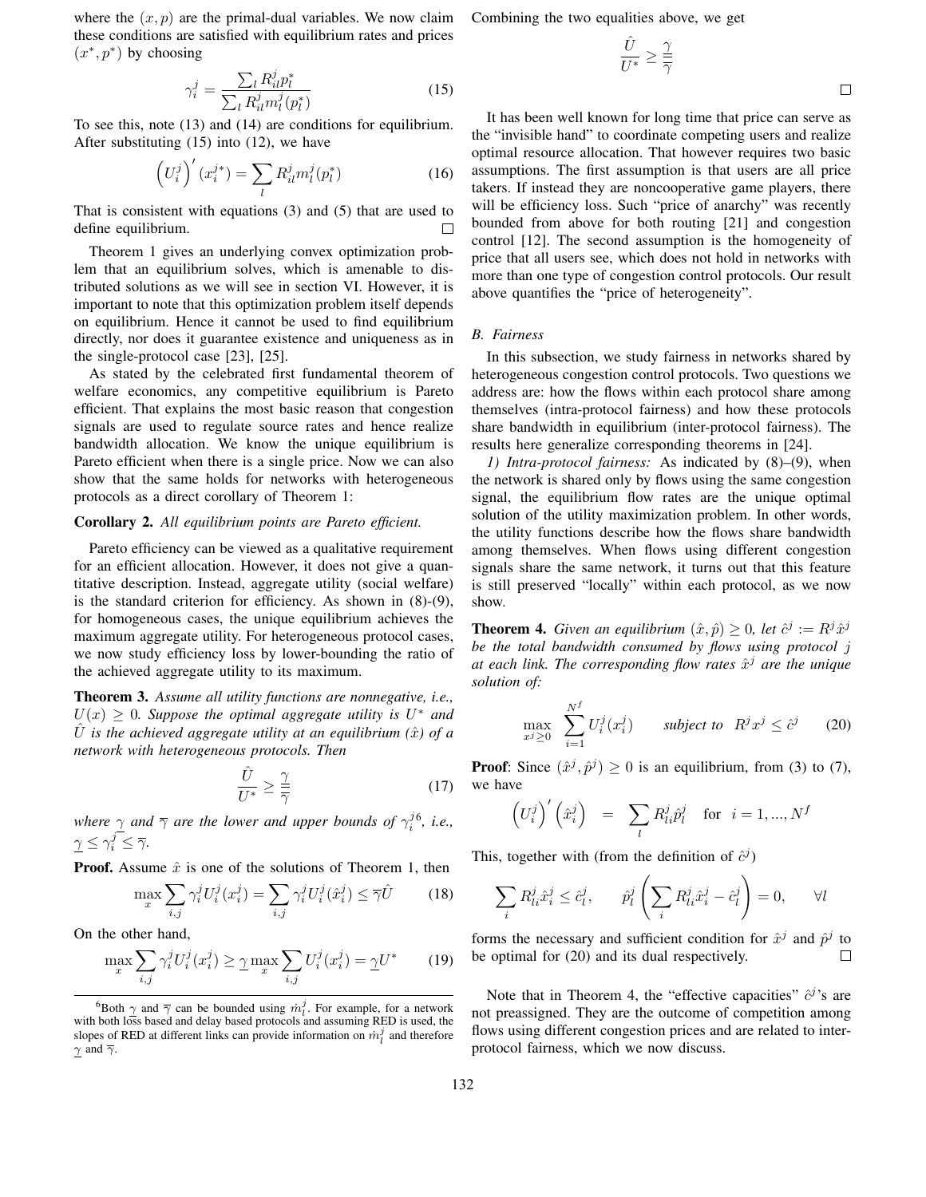where the  $(x, p)$  are the primal-dual variables. We now claim these conditions are satisfied with equilibrium rates and prices  $(x^*, p^*)$  by choosing

$$
\gamma_i^j = \frac{\sum_l R_{il}^j p_l^*}{\sum_l R_{il}^j m_l^j (p_l^*)}
$$
\nTo see this, note (13) and (14) are conditions for equilibrium.

After substituting (15) into (12), we have

$$
\left(U_i^j\right)'(x_i^{j*}) = \sum_l R_{il}^j m_l^j(p_l^*)
$$
\n(16)

That is consistent with equations (3) and (5) that are used to define equilibrium. П

Theorem 1 gives an underlying convex optimization problem that an equilibrium solves, which is amenable to distributed solutions as we will see in section VI. However, it is important to note that this optimization problem itself depends on equilibrium. Hence it cannot be used to find equilibrium directly, nor does it guarantee existence and uniqueness as in the single-protocol case [23], [25].

As stated by the celebrated first fundamental theorem of welfare economics, any competitive equilibrium is Pareto efficient. That explains the most basic reason that congestion signals are used to regulate source rates and hence realize bandwidth allocation. We know the unique equilibrium is Pareto efficient when there is a single price. Now we can also show that the same holds for networks with heterogeneous protocols as a direct corollary of Theorem 1:

# **Corollary 2.** *All equilibrium points are Pareto efficient.*

Pareto efficiency can be viewed as a qualitative requirement for an efficient allocation. However, it does not give a quantitative description. Instead, aggregate utility (social welfare) is the standard criterion for efficiency. As shown in (8)-(9), for homogeneous cases, the unique equilibrium achieves the maximum aggregate utility. For heterogeneous protocol cases, we now study efficiency loss by lower-bounding the ratio of the achieved aggregate utility to its maximum.

**Theorem 3.** *Assume all utility functions are nonnegative, i.e.,*  $U(x) \geq 0$ *. Suppose the optimal aggregate utility is*  $U^*$  *and*  $\hat{U}$  *is the achieved aggregate utility at an equilibrium (* $\hat{x}$ *) of a network with heterogeneous protocols. Then*

$$
\frac{\hat{U}}{U^*} \ge \frac{\gamma}{\overline{\gamma}}\tag{17}
$$

where  $\underline{\gamma}$  and  $\overline{\gamma}$  are the lower and upper bounds of  $\gamma_i^{j6}$ , i.e.,  $\underline{\gamma} \leq \gamma_i^j \leq \overline{\gamma}.$ 

**Proof.** Assume  $\hat{x}$  is one of the solutions of Theorem 1, then<br>  $\max \sum \gamma^j U^j(x^j) = \sum \gamma^j U^j(\hat{x}^j) \leq \overline{\gamma}\hat{U}$  (18)

$$
\max_{x} \sum_{i,j} \gamma_i^j U_i^j(x_i^j) = \sum_{i,j} \gamma_i^j U_i^j(\hat{x}_i^j) \le \overline{\gamma}\hat{U} \tag{18}
$$

On the other hand,

$$
\max_{x} \sum_{i,j} \gamma_i^j U_i^j(x_i^j) \ge \underline{\gamma} \max_{x} \sum_{i,j} U_i^j(x_i^j) = \underline{\gamma} U^* \tag{19}
$$

Combining the two equalities above, we get

$$
\frac{\hat{U}}{U^*} \ge \frac{\gamma}{\overline{\gamma}}
$$

It has been well known for long time that price can serve as the "invisible hand" to coordinate competing users and realize optimal resource allocation. That however requires two basic assumptions. The first assumption is that users are all price takers. If instead they are noncooperative game players, there will be efficiency loss. Such "price of anarchy" was recently bounded from above for both routing [21] and congestion control [12]. The second assumption is the homogeneity of price that all users see, which does not hold in networks with more than one type of congestion control protocols. Our result above quantifies the "price of heterogeneity".

# *B. Fairness*

In this subsection, we study fairness in networks shared by heterogeneous congestion control protocols. Two questions we address are: how the flows within each protocol share among themselves (intra-protocol fairness) and how these protocols share bandwidth in equilibrium (inter-protocol fairness). The results here generalize corresponding theorems in [24].

*1) Intra-protocol fairness:* As indicated by (8)–(9), when the network is shared only by flows using the same congestion signal, the equilibrium flow rates are the unique optimal solution of the utility maximization problem. In other words, the utility functions describe how the flows share bandwidth among themselves. When flows using different congestion signals share the same network, it turns out that this feature is still preserved "locally" within each protocol, as we now show.

**Theorem 4.** *Given an equilibrium*  $(\hat{x}, \hat{p}) \geq 0$ *, let*  $\hat{c}^j := R^j \hat{x}^j$ *be the total bandwidth consumed by flows using protocol* j *at each link. The corresponding flow rates*  $\hat{x}^j$  *are the unique solution of:*

$$
\max_{x^j \ge 0} \sum_{i=1}^{N^f} U_i^j(x_i^j) \qquad \text{subject to} \ \ R^j x^j \le \hat{c}^j \tag{20}
$$

**Proof**: Since  $(\hat{x}^j, \hat{p}^j) \ge 0$  is an equilibrium, from (3) to (7), we have

$$
\left(U_i^j\right)' \left(\hat{x}_i^j\right) \quad = \quad \sum_l R_{li}^j \hat{p}_l^j \quad \text{for} \quad i = 1, ..., N^f
$$

This, together with (from the definition of  $\hat{c}^j$ )

$$
\sum_{i} R_{li}^{j} \hat{x}_{i}^{j} \leq \hat{c}_{l}^{j}, \qquad \hat{p}_{l}^{j} \left( \sum_{i} R_{li}^{j} \hat{x}_{i}^{j} - \hat{c}_{l}^{j} \right) = 0, \qquad \forall l
$$

forms the necessary and sufficient condition for  $\hat{x}^j$  and  $\hat{p}^j$  to be optimal for (20) and its dual respectively. be optimal for (20) and its dual respectively.

Note that in Theorem 4, the "effective capacities"  $\hat{c}^j$ 's are not preassigned. They are the outcome of competition among flows using different congestion prices and are related to interprotocol fairness, which we now discuss.

<sup>&</sup>lt;sup>6</sup>Both  $\gamma$  and  $\overline{\gamma}$  can be bounded using  $m_l^j$ . For example, for a network with both  $\log s$  based and delay based protocols and assuming RED is used, the slopes of RED at different links can provide information on  $m_l^j$  and therefore  $\underline{\gamma}$  and  $\overline{\gamma}.$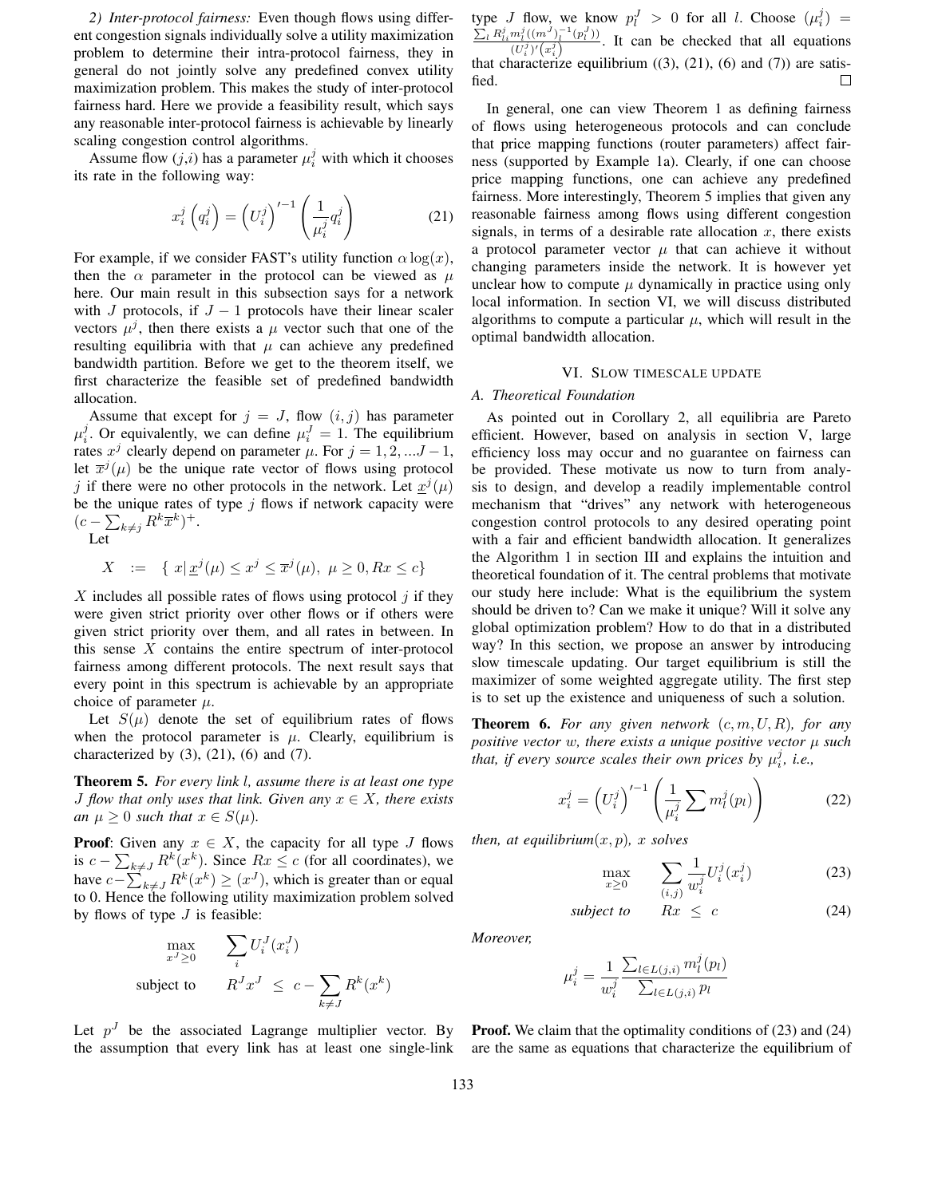*2) Inter-protocol fairness:* Even though flows using different congestion signals individually solve a utility maximization problem to determine their intra-protocol fairness, they in general do not jointly solve any predefined convex utility maximization problem. This makes the study of inter-protocol fairness hard. Here we provide a feasibility result, which says any reasonable inter-protocol fairness is achievable by linearly scaling congestion control algorithms.

Assume flow  $(j,i)$  has a parameter  $\mu_i^j$  with which it chooses its rate in the following way:

$$
x_i^j\left(q_i^j\right) = \left(U_i^j\right)^{\prime -1} \left(\frac{1}{\mu_i^j} q_i^j\right) \tag{21}
$$

For example, if we consider FAST's utility function  $\alpha \log(x)$ , then the  $\alpha$  parameter in the protocol can be viewed as  $\mu$ here. Our main result in this subsection says for a network with J protocols, if  $J - 1$  protocols have their linear scaler vectors  $\mu^{j}$ , then there exists a  $\mu$  vector such that one of the resulting equilibria with that  $\mu$  can achieve any predefined bandwidth partition. Before we get to the theorem itself, we first characterize the feasible set of predefined bandwidth allocation.

Assume that except for  $j = J$ , flow  $(i, j)$  has parameter  $\mu_i^j$ . Or equivalently, we can define  $\mu_i^J = 1$ . The equilibrium<br>rates  $x^j$  clearly depend on parameter  $\mu$ . For  $i = 1, 2, \dots, J-1$ rates  $x^j$  clearly depend on parameter  $\mu$ . For  $j = 1, 2, \dots J - 1$ , let  $\bar{x}^j(\mu)$  be the unique rate vector of flows using protocol j if there were no other protocols in the network. Let  $x^{j}(\mu)$ be the unique rates of type  $j$  flows if network capacity were  $(c - \sum_{k \neq j} R^k \overline{x}^k)^+.$ 

Let

$$
X := \{ x | \underline{x}^j(\mu) \le x^j \le \overline{x}^j(\mu), \ \mu \ge 0, Rx \le c \}
$$

 $X$  includes all possible rates of flows using protocol  $j$  if they were given strict priority over other flows or if others were given strict priority over them, and all rates in between. In this sense  $X$  contains the entire spectrum of inter-protocol fairness among different protocols. The next result says that every point in this spectrum is achievable by an appropriate choice of parameter  $\mu$ .

Let  $S(\mu)$  denote the set of equilibrium rates of flows when the protocol parameter is  $\mu$ . Clearly, equilibrium is characterized by  $(3)$ ,  $(21)$ ,  $(6)$  and  $(7)$ .

**Theorem 5.** *For every link* l*, assume there is at least one type J* flow that only uses that link. Given any  $x \in X$ , there exists *an*  $\mu \geq 0$  *such that*  $x \in S(\mu)$ *.* 

**Proof:** Given any  $x \in X$ , the capacity for all type J flows is  $c - \sum_{k \neq J} R^k(x^k)$ . Since  $Rx \leq c$  (for all coordinates), we have  $c = \sum_{k \neq J} R^k(x^k) \geq (x^J)$ , which is greater than or equal have  $c - \sum_{k \neq J} R^k(x^k) \geq (x^J)$ , which is greater than or equal to 0. Hence the following utility maximization problem solved to 0. Hence the following utility maximization problem solved by flows of type  $J$  is feasible:

$$
\max_{x^J \ge 0} \sum_i U_i^J(x_i^J)
$$
\n
$$
\text{subject to} \qquad R^J x^J \le c - \sum_{k \ne J} R^k(x^k)
$$

the assumption that every link has at least one single-link

type J flow, we know  $p_l^J > 0$  for all l. Choose  $(\mu_i^j)$ <br>  $\sum_{i} R_i^j \cdot m_i^j ((m_j^J)^{-1} (p_i^J))$  $\sum_l R_{li}^j m_l^j ((m^J)_l^{-1} (p_l^J))$ . It can be checked that all equations  $(U_i^j)'(x_i^j)$ .<br>that characterize equilibrium ((3), (21), (6) and (7)) are satis- $(U_i^j)'(x_i^j)$  . It can be checked that an equations<br>that characterize equilibrium ((3), (21), (6) and (7)) are satis- $(U_i^j)'$ fied.  $\Box$ 

In general, one can view Theorem 1 as defining fairness of flows using heterogeneous protocols and can conclude that price mapping functions (router parameters) affect fairness (supported by Example 1a). Clearly, if one can choose price mapping functions, one can achieve any predefined fairness. More interestingly, Theorem 5 implies that given any reasonable fairness among flows using different congestion signals, in terms of a desirable rate allocation  $x$ , there exists a protocol parameter vector  $\mu$  that can achieve it without changing parameters inside the network. It is however yet unclear how to compute  $\mu$  dynamically in practice using only local information. In section VI, we will discuss distributed algorithms to compute a particular  $\mu$ , which will result in the optimal bandwidth allocation.

#### VI. SLOW TIMESCALE UPDATE

#### *A. Theoretical Foundation*

As pointed out in Corollary 2, all equilibria are Pareto efficient. However, based on analysis in section V, large efficiency loss may occur and no guarantee on fairness can be provided. These motivate us now to turn from analysis to design, and develop a readily implementable control mechanism that "drives" any network with heterogeneous congestion control protocols to any desired operating point with a fair and efficient bandwidth allocation. It generalizes the Algorithm 1 in section III and explains the intuition and theoretical foundation of it. The central problems that motivate our study here include: What is the equilibrium the system should be driven to? Can we make it unique? Will it solve any global optimization problem? How to do that in a distributed way? In this section, we propose an answer by introducing slow timescale updating. Our target equilibrium is still the maximizer of some weighted aggregate utility. The first step is to set up the existence and uniqueness of such a solution.

**Theorem 6.** *For any given network* (c, m, U, R)*, for any positive vector* w*, there exists a unique positive vector* µ *such that, if every source scales their own prices by*  $\mu_i^j$ *, i.e.,* 

$$
x_i^j = \left(U_i^j\right)^{\prime -1} \left(\frac{1}{\mu_i^j} \sum m_l^j(p_l)\right) \tag{22}
$$

*then, at equilibrium* $(x, p)$ *, x solves* 

 $\ddot{\cdot}$ 

$$
\max_{x \ge 0} \sum_{(i,j)} \frac{1}{w_i^j} U_i^j(x_i^j)
$$
 (23)

$$
subject\ to\qquad Rx \leq c \tag{24}
$$

*Moreover,*

$$
\mu_i^j = \frac{1}{w_i^j} \frac{\sum_{l \in L(j,i)} m_l^j(p_l)}{\sum_{l \in L(j,i)} p_l}
$$

Let  $p<sup>J</sup>$  be the associated Lagrange multiplier vector. By **Proof.** We claim that the optimality conditions of (23) and (24) are the same as equations that characterize the equilibrium of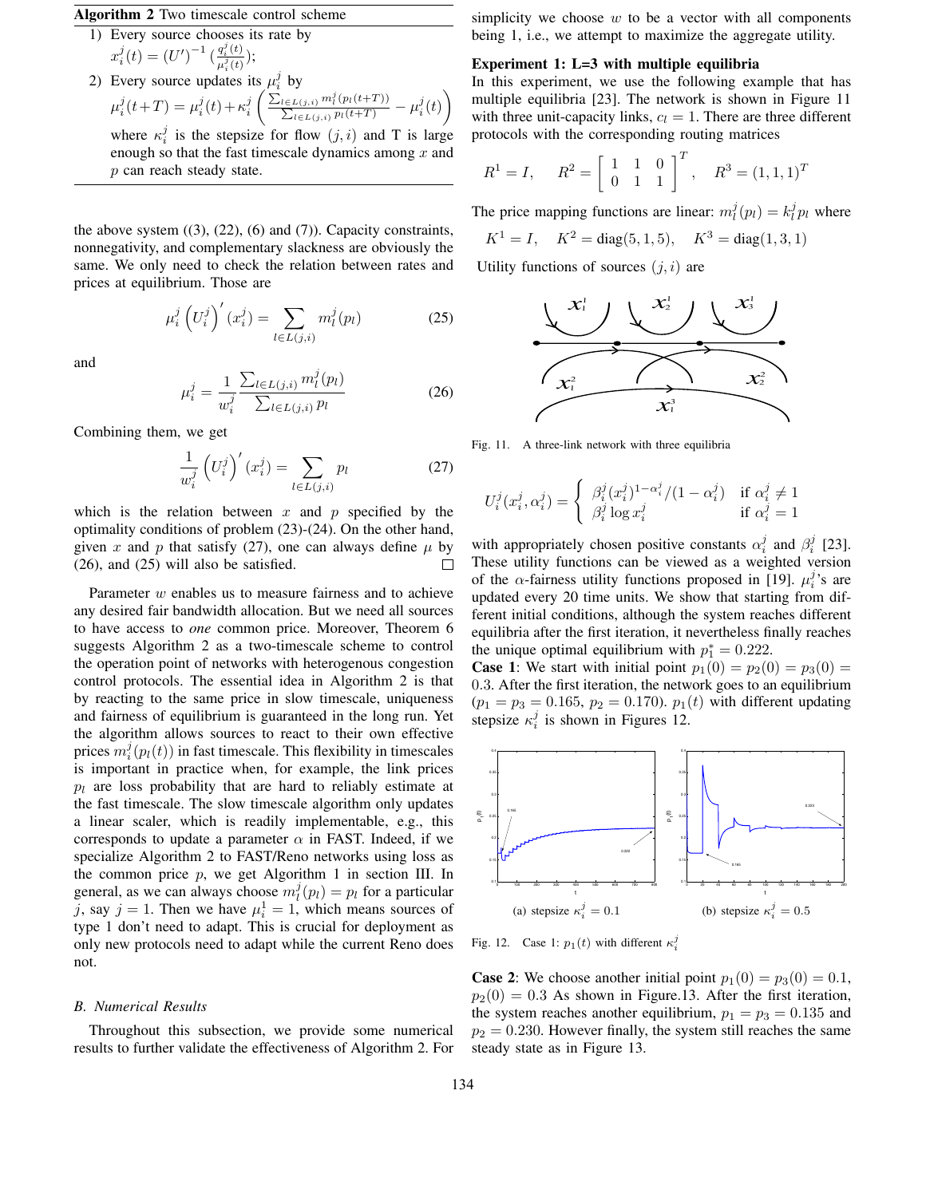**Algorithm 2** Two timescale control scheme

1) Every source chooses its rate by  $x_i^j(t) = (U')^{-1} \left( \frac{q_i^j(t)}{\mu_i^j(t)} \right)$  $\frac{q_i^{\,i}(t)}{\mu_i^j(t)}$ );

2) Every source updates its  $\mu_i^j$  by  $\mu_i^j(t+T) = \mu_i^j(t) + \kappa_i^j$  $\int \sum_{l\in L(j,i)} m_l^j(p_l(t+T))$  $\frac{\sum_{l\in L(j,i)} m_l^j(p_l(t+T))}{\sum_{l\in L(j,i)} p_l(t+T)} - \mu_i^j(t)$ 

where  $\kappa_i^j$  is the stepsize for flow  $(j, i)$  and T is large<br>enough so that the fast timescale dynamics among x and enough so that the fast timescale dynamics among  $x$  and p can reach steady state.

the above system  $((3), (22), (6)$  and  $(7)$ ). Capacity constraints, nonnegativity, and complementary slackness are obviously the same. We only need to check the relation between rates and prices at equilibrium. Those are

$$
\mu_i^j \left( U_i^j \right)' (x_i^j) = \sum_{l \in L(j,i)} m_l^j(p_l) \tag{25}
$$

and

$$
\mu_i^j = \frac{1}{w_i^j} \frac{\sum_{l \in L(j,i)} m_l^j(p_l)}{\sum_{l \in L(j,i)} p_l} \tag{26}
$$

Combining them, we get

$$
\frac{1}{w_i^j} \left( U_i^j \right)' (x_i^j) = \sum_{l \in L(j,i)} p_l \tag{27}
$$

which is the relation between  $x$  and  $p$  specified by the optimality conditions of problem (23)-(24). On the other hand, given x and p that satisfy (27), one can always define  $\mu$  by (26), and (25) will also be satisfied.  $\Box$ 

Parameter w enables us to measure fairness and to achieve any desired fair bandwidth allocation. But we need all sources to have access to *one* common price. Moreover, Theorem 6 suggests Algorithm 2 as a two-timescale scheme to control the operation point of networks with heterogenous congestion control protocols. The essential idea in Algorithm 2 is that by reacting to the same price in slow timescale, uniqueness and fairness of equilibrium is guaranteed in the long run. Yet the algorithm allows sources to react to their own effective prices  $m_i^j(p_l(t))$  in fast timescale. This flexibility in timescales<br>is important in practice when for example, the link prices is important in practice when, for example, the link prices  $p_l$  are loss probability that are hard to reliably estimate at the fast timescale. The slow timescale algorithm only updates a linear scaler, which is readily implementable, e.g., this corresponds to update a parameter  $\alpha$  in FAST. Indeed, if we specialize Algorithm 2 to FAST/Reno networks using loss as the common price  $p$ , we get Algorithm 1 in section III. In general, as we can always choose  $m_l^j(p_l) = p_l$  for a particular  $i$ , say  $i - 1$ . Then we have  $u_i^1 - 1$ , which means sources of j, say  $j = 1$ . Then we have  $\mu_i^1 = 1$ , which means sources of type 1 don't need to adapt. This is crucial for deployment as type 1 don't need to adapt. This is crucial for deployment as only new protocols need to adapt while the current Reno does not.

### *B. Numerical Results*

Throughout this subsection, we provide some numerical results to further validate the effectiveness of Algorithm 2. For

simplicity we choose  $w$  to be a vector with all components being 1, i.e., we attempt to maximize the aggregate utility.

## **Experiment 1: L=3 with multiple equilibria**

In this experiment, we use the following example that has multiple equilibria [23]. The network is shown in Figure 11 with three unit-capacity links,  $c_l = 1$ . There are three different protocols with the corresponding routing matrices

$$
R^1 = I
$$
,  $R^2 = \begin{bmatrix} 1 & 1 & 0 \\ 0 & 1 & 1 \end{bmatrix}^T$ ,  $R^3 = (1, 1, 1)^T$ 

The price mapping functions are linear:  $m_l^j(p_l) = k_l^j p_l$  where

$$
K^1 = I
$$
,  $K^2 = diag(5, 1, 5)$ ,  $K^3 = diag(1, 3, 1)$ 

Utility functions of sources  $(i, i)$  are



Fig. 11. A three-link network with three equilibria

$$
U_i^j(x_i^j, \alpha_i^j) = \begin{cases} \beta_i^j(x_i^j)^{1-\alpha_i^j} / (1-\alpha_i^j) & \text{if } \alpha_i^j \neq 1\\ \beta_i^j \log x_i^j & \text{if } \alpha_i^j = 1 \end{cases}
$$

with appropriately chosen positive constants  $\alpha_i^j$  and  $\beta_i^j$  [23]. These utility functions can be viewed as a weighted version of the  $\alpha$ -fairness utility functions proposed in [19].  $\mu_i^j$ 's are updated every 20 time units. We show that starting from different initial conditions, although the system reaches different equilibria after the first iteration, it nevertheless finally reaches the unique optimal equilibrium with  $p_1^* = 0.222$ .<br>Case 1: We start with initial point  $p_1(0) = p_2(0)$ **Case 1**: We start with initial point  $p_1(0) = p_2(0) = p_3(0) =$ 

0.3. After the first iteration, the network goes to an equilibrium  $(p_1 = p_3 = 0.165, p_2 = 0.170)$ .  $p_1(t)$  with different updating stepsize  $\kappa_i^j$  is shown in Figures 12.



Fig. 12. Case 1:  $p_1(t)$  with different  $\kappa_i^j$ 

**Case 2:** We choose another initial point  $p_1(0) = p_3(0) = 0.1$ ,  $p_2(0) = 0.3$  As shown in Figure.13. After the first iteration, the system reaches another equilibrium,  $p_1 = p_3 = 0.135$  and  $p_2 = 0.230$ . However finally, the system still reaches the same steady state as in Figure 13.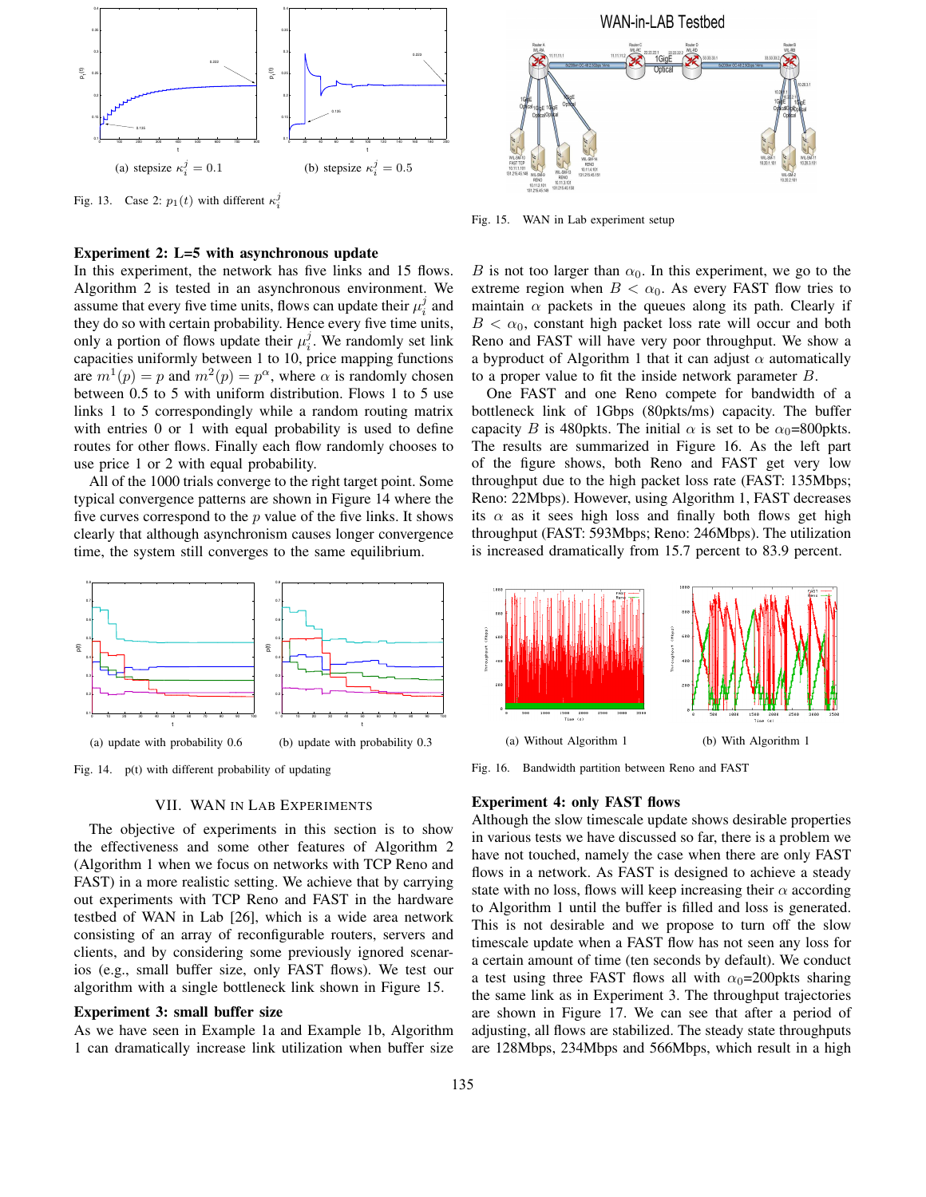

Fig. 13. Case 2:  $p_1(t)$  with different  $\kappa_i^j$ 

#### **Experiment 2: L=5 with asynchronous update**

In this experiment, the network has five links and 15 flows. Algorithm 2 is tested in an asynchronous environment. We assume that every five time units, flows can update their  $\mu_i^j$  and they do so with certain probability. Hence every five time units, only a portion of flows update their  $\mu_i^j$ . We randomly set link capacities uniformly between 1 to 10, price mapping functions are  $m^1(p) = p$  and  $m^2(p) = p^{\alpha}$ , where  $\alpha$  is randomly chosen between 0.5 to 5 with uniform distribution. Flows 1 to 5 use links 1 to 5 correspondingly while a random routing matrix with entries 0 or 1 with equal probability is used to define routes for other flows. Finally each flow randomly chooses to use price 1 or 2 with equal probability.

All of the 1000 trials converge to the right target point. Some typical convergence patterns are shown in Figure 14 where the five curves correspond to the  $p$  value of the five links. It shows clearly that although asynchronism causes longer convergence time, the system still converges to the same equilibrium.



Fig. 14. p(t) with different probability of updating

## VII. WAN IN LAB EXPERIMENTS

The objective of experiments in this section is to show the effectiveness and some other features of Algorithm 2 (Algorithm 1 when we focus on networks with TCP Reno and FAST) in a more realistic setting. We achieve that by carrying out experiments with TCP Reno and FAST in the hardware testbed of WAN in Lab [26], which is a wide area network consisting of an array of reconfigurable routers, servers and clients, and by considering some previously ignored scenarios (e.g., small buffer size, only FAST flows). We test our algorithm with a single bottleneck link shown in Figure 15.

## **Experiment 3: small buffer size**

As we have seen in Example 1a and Example 1b, Algorithm 1 can dramatically increase link utilization when buffer size



Fig. 15. WAN in Lab experiment setup

B is not too larger than  $\alpha_0$ . In this experiment, we go to the extreme region when  $B < \alpha_0$ . As every FAST flow tries to maintain  $\alpha$  packets in the queues along its path. Clearly if  $B < \alpha_0$ , constant high packet loss rate will occur and both Reno and FAST will have very poor throughput. We show a a byproduct of Algorithm 1 that it can adjust  $\alpha$  automatically to a proper value to fit the inside network parameter B.

One FAST and one Reno compete for bandwidth of a bottleneck link of 1Gbps (80pkts/ms) capacity. The buffer capacity B is 480pkts. The initial  $\alpha$  is set to be  $\alpha_0$ =800pkts. The results are summarized in Figure 16. As the left part of the figure shows, both Reno and FAST get very low throughput due to the high packet loss rate (FAST: 135Mbps; Reno: 22Mbps). However, using Algorithm 1, FAST decreases its  $\alpha$  as it sees high loss and finally both flows get high throughput (FAST: 593Mbps; Reno: 246Mbps). The utilization is increased dramatically from 15.7 percent to 83.9 percent.



Fig. 16. Bandwidth partition between Reno and FAST

## **Experiment 4: only FAST flows**

Although the slow timescale update shows desirable properties in various tests we have discussed so far, there is a problem we have not touched, namely the case when there are only FAST flows in a network. As FAST is designed to achieve a steady state with no loss, flows will keep increasing their  $\alpha$  according to Algorithm 1 until the buffer is filled and loss is generated. This is not desirable and we propose to turn off the slow timescale update when a FAST flow has not seen any loss for a certain amount of time (ten seconds by default). We conduct a test using three FAST flows all with  $\alpha_0 = 200$  pkts sharing the same link as in Experiment 3. The throughput trajectories are shown in Figure 17. We can see that after a period of adjusting, all flows are stabilized. The steady state throughputs are 128Mbps, 234Mbps and 566Mbps, which result in a high